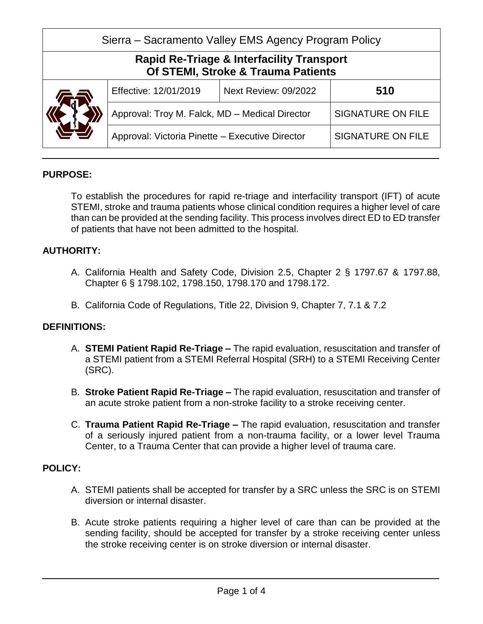| Sierra – Sacramento Valley EMS Agency Program Policy                                       |                                                 |                             |                          |  |
|--------------------------------------------------------------------------------------------|-------------------------------------------------|-----------------------------|--------------------------|--|
| <b>Rapid Re-Triage &amp; Interfacility Transport</b><br>Of STEMI, Stroke & Trauma Patients |                                                 |                             |                          |  |
|                                                                                            | Effective: 12/01/2019                           | <b>Next Review: 09/2022</b> | 510                      |  |
|                                                                                            | Approval: Troy M. Falck, MD - Medical Director  |                             | <b>SIGNATURE ON FILE</b> |  |
|                                                                                            | Approval: Victoria Pinette - Executive Director |                             | <b>SIGNATURE ON FILE</b> |  |

# **PURPOSE:**

To establish the procedures for rapid re-triage and interfacility transport (IFT) of acute STEMI, stroke and trauma patients whose clinical condition requires a higher level of care than can be provided at the sending facility. This process involves direct ED to ED transfer of patients that have not been admitted to the hospital.

#### **AUTHORITY:**

- A. California Health and Safety Code, Division 2.5, Chapter 2 § 1797.67 & 1797.88, Chapter 6 § 1798.102, 1798.150, 1798.170 and 1798.172.
- B. California Code of Regulations, Title 22, Division 9, Chapter 7, 7.1 & 7.2

# **DEFINITIONS:**

- A. **STEMI Patient Rapid Re-Triage –** The rapid evaluation, resuscitation and transfer of a STEMI patient from a STEMI Referral Hospital (SRH) to a STEMI Receiving Center (SRC).
- B. **Stroke Patient Rapid Re-Triage –** The rapid evaluation, resuscitation and transfer of an acute stroke patient from a non-stroke facility to a stroke receiving center.
- C. **Trauma Patient Rapid Re-Triage –** The rapid evaluation, resuscitation and transfer of a seriously injured patient from a non-trauma facility, or a lower level Trauma Center, to a Trauma Center that can provide a higher level of trauma care.

#### **POLICY:**

- A. STEMI patients shall be accepted for transfer by a SRC unless the SRC is on STEMI diversion or internal disaster.
- B. Acute stroke patients requiring a higher level of care than can be provided at the sending facility, should be accepted for transfer by a stroke receiving center unless the stroke receiving center is on stroke diversion or internal disaster.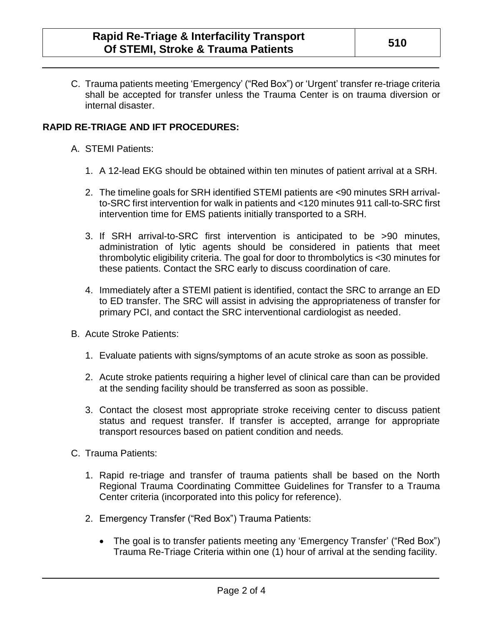C. Trauma patients meeting 'Emergency' ("Red Box") or 'Urgent' transfer re-triage criteria shall be accepted for transfer unless the Trauma Center is on trauma diversion or internal disaster.

### **RAPID RE-TRIAGE AND IFT PROCEDURES:**

- A. STEMI Patients:
	- 1. A 12-lead EKG should be obtained within ten minutes of patient arrival at a SRH.
	- 2. The timeline goals for SRH identified STEMI patients are <90 minutes SRH arrivalto-SRC first intervention for walk in patients and <120 minutes 911 call-to-SRC first intervention time for EMS patients initially transported to a SRH.
	- 3. If SRH arrival-to-SRC first intervention is anticipated to be >90 minutes, administration of lytic agents should be considered in patients that meet thrombolytic eligibility criteria. The goal for door to thrombolytics is <30 minutes for these patients. Contact the SRC early to discuss coordination of care.
	- 4. Immediately after a STEMI patient is identified, contact the SRC to arrange an ED to ED transfer. The SRC will assist in advising the appropriateness of transfer for primary PCI, and contact the SRC interventional cardiologist as needed.
- B. Acute Stroke Patients:
	- 1. Evaluate patients with signs/symptoms of an acute stroke as soon as possible.
	- 2. Acute stroke patients requiring a higher level of clinical care than can be provided at the sending facility should be transferred as soon as possible.
	- 3. Contact the closest most appropriate stroke receiving center to discuss patient status and request transfer. If transfer is accepted, arrange for appropriate transport resources based on patient condition and needs.
- C. Trauma Patients:
	- 1. Rapid re-triage and transfer of trauma patients shall be based on the North Regional Trauma Coordinating Committee Guidelines for Transfer to a Trauma Center criteria (incorporated into this policy for reference).
	- 2. Emergency Transfer ("Red Box") Trauma Patients:
		- The goal is to transfer patients meeting any 'Emergency Transfer' ("Red Box") Trauma Re-Triage Criteria within one (1) hour of arrival at the sending facility.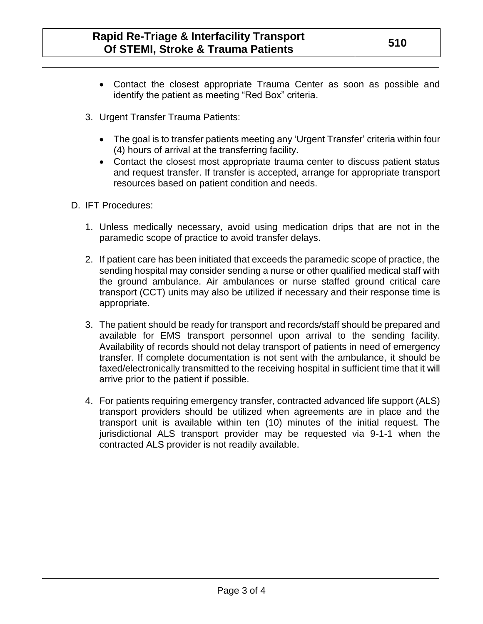- Contact the closest appropriate Trauma Center as soon as possible and identify the patient as meeting "Red Box" criteria.
- 3. Urgent Transfer Trauma Patients:
	- The goal is to transfer patients meeting any 'Urgent Transfer' criteria within four (4) hours of arrival at the transferring facility.
	- Contact the closest most appropriate trauma center to discuss patient status and request transfer. If transfer is accepted, arrange for appropriate transport resources based on patient condition and needs.
- D. IFT Procedures:
	- 1. Unless medically necessary, avoid using medication drips that are not in the paramedic scope of practice to avoid transfer delays.
	- 2. If patient care has been initiated that exceeds the paramedic scope of practice, the sending hospital may consider sending a nurse or other qualified medical staff with the ground ambulance. Air ambulances or nurse staffed ground critical care transport (CCT) units may also be utilized if necessary and their response time is appropriate.
	- 3. The patient should be ready for transport and records/staff should be prepared and available for EMS transport personnel upon arrival to the sending facility. Availability of records should not delay transport of patients in need of emergency transfer. If complete documentation is not sent with the ambulance, it should be faxed/electronically transmitted to the receiving hospital in sufficient time that it will arrive prior to the patient if possible.
	- 4. For patients requiring emergency transfer, contracted advanced life support (ALS) transport providers should be utilized when agreements are in place and the transport unit is available within ten (10) minutes of the initial request. The jurisdictional ALS transport provider may be requested via 9-1-1 when the contracted ALS provider is not readily available.